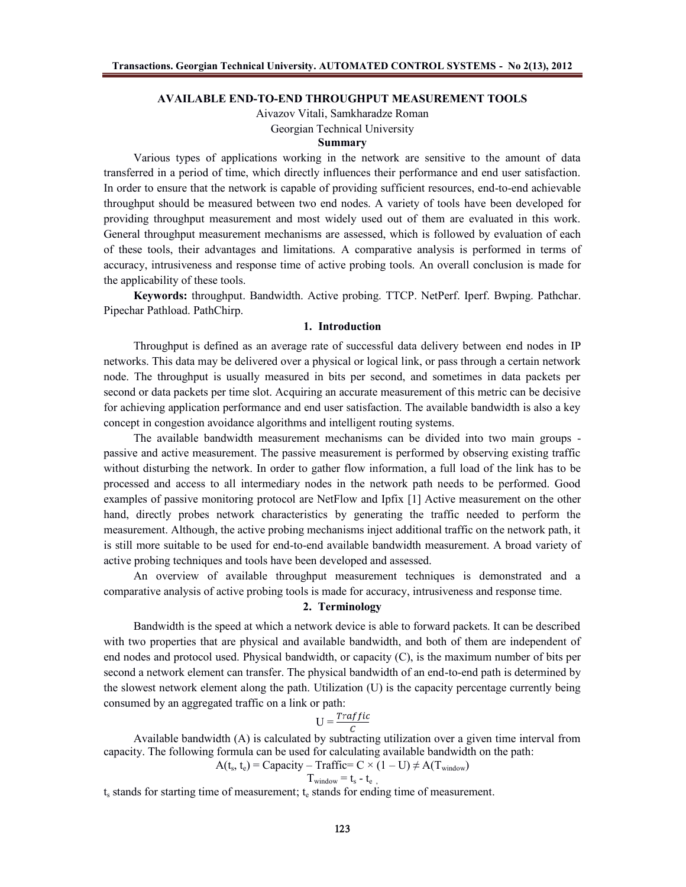# **AVAILABLE END-TO-END THROUGHPUT MEASUREMENT TOOLS**

Aivazov Vitali, Samkharadze Roman Georgian Technical University

## **Summary**

Various types of applications working in the network are sensitive to the amount of data transferred in a period of time, which directly influences their performance and end user satisfaction. In order to ensure that the network is capable of providing sufficient resources, end-to-end achievable throughput should be measured between two end nodes. A variety of tools have been developed for providing throughput measurement and most widely used out of them are evaluated in this work. General throughput measurement mechanisms are assessed, which is followed by evaluation of each of these tools, their advantages and limitations. A comparative analysis is performed in terms of accuracy, intrusiveness and response time of active probing tools. An overall conclusion is made for the applicability of these tools.

**Keywords:** throughput. Bandwidth. Active probing. TTCP. NetPerf. Iperf. Bwping. Pathchar. Pipechar Pathload. PathChirp.

#### **1. Introduction**

Throughput is defined as an average rate of successful data delivery between end nodes in IP networks. This data may be delivered over a physical or logical link, or pass through a certain network node. The throughput is usually measured in bits per second, and sometimes in data packets per second or data packets per time slot. Acquiring an accurate measurement of this metric can be decisive for achieving application performance and end user satisfaction. The available bandwidth is also a key concept in congestion avoidance algorithms and intelligent routing systems.

The available bandwidth measurement mechanisms can be divided into two main groups passive and active measurement. The passive measurement is performed by observing existing traffic without disturbing the network. In order to gather flow information, a full load of the link has to be processed and access to all intermediary nodes in the network path needs to be performed. Good examples of passive monitoring protocol are NetFlow and Ipfix [1] Active measurement on the other hand, directly probes network characteristics by generating the traffic needed to perform the measurement. Although, the active probing mechanisms inject additional traffic on the network path, it is still more suitable to be used for end-to-end available bandwidth measurement. A broad variety of active probing techniques and tools have been developed and assessed.

An overview of available throughput measurement techniques is demonstrated and a comparative analysis of active probing tools is made for accuracy, intrusiveness and response time.

#### **2. Terminology**

Bandwidth is the speed at which a network device is able to forward packets. It can be described with two properties that are physical and available bandwidth, and both of them are independent of end nodes and protocol used. Physical bandwidth, or capacity (C), is the maximum number of bits per second a network element can transfer. The physical bandwidth of an end-to-end path is determined by the slowest network element along the path. Utilization (U) is the capacity percentage currently being consumed by an aggregated traffic on a link or path:

$$
U = \frac{Traffic}{C}
$$

Available bandwidth (A) is calculated by subtracting utilization over a given time interval from capacity. The following formula can be used for calculating available bandwidth on the path:

 $A(t_s, t_e)$  = Capacity – Traffic= C × (1 – U)  $\neq A(T_{window})$ 

$$
T_{window} = t_s - t_e
$$

 $t<sub>s</sub>$  stands for starting time of measurement;  $t<sub>e</sub>$  stands for ending time of measurement.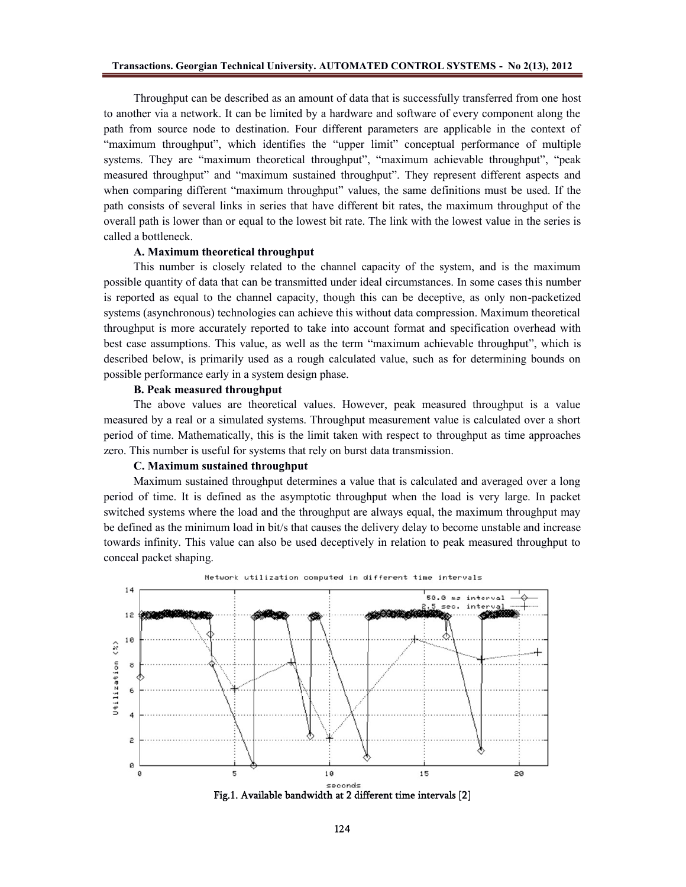Throughput can be described as an amount of data that is successfully transferred from one host to another via a network. It can be limited by a hardware and software of every component along the path from source node to destination. Four different parameters are applicable in the context of "maximum throughput", which identifies the "upper limit" conceptual performance of multiple systems. They are "maximum theoretical throughput", "maximum achievable throughput", "peak measured throughput" and "maximum sustained throughput". They represent different aspects and when comparing different "maximum throughput" values, the same definitions must be used. If the path consists of several links in series that have different bit rates, the maximum throughput of the overall path is lower than or equal to the lowest bit rate. The link with the lowest value in the series is called a bottleneck.

#### **A. Maximum theoretical throughput**

This number is closely related to the channel capacity of the system, and is the maximum possible quantity of data that can be transmitted under ideal circumstances. In some cases this number is reported as equal to the channel capacity, though this can be deceptive, as only non-packetized systems (asynchronous) technologies can achieve this without data compression. Maximum theoretical throughput is more accurately reported to take into account format and specification overhead with best case assumptions. This value, as well as the term "maximum achievable throughput", which is described below, is primarily used as a rough calculated value, such as for determining bounds on possible performance early in a system design phase.

## **B. Peak measured throughput**

The above values are theoretical values. However, peak measured throughput is a value measured by a real or a simulated systems. Throughput measurement value is calculated over a short period of time. Mathematically, this is the limit taken with respect to throughput as time approaches zero. This number is useful for systems that rely on burst data transmission.

#### **C. Maximum sustained throughput**

Maximum sustained throughput determines a value that is calculated and averaged over a long period of time. It is defined as the asymptotic throughput when the load is very large. In packet switched systems where the load and the throughput are always equal, the maximum throughput may be defined as the minimum load in bit/s that causes the delivery delay to become unstable and increase towards infinity. This value can also be used deceptively in relation to peak measured throughput to conceal packet shaping.



**Fig.1. Available bandwidth at 2 different time intervals [2]**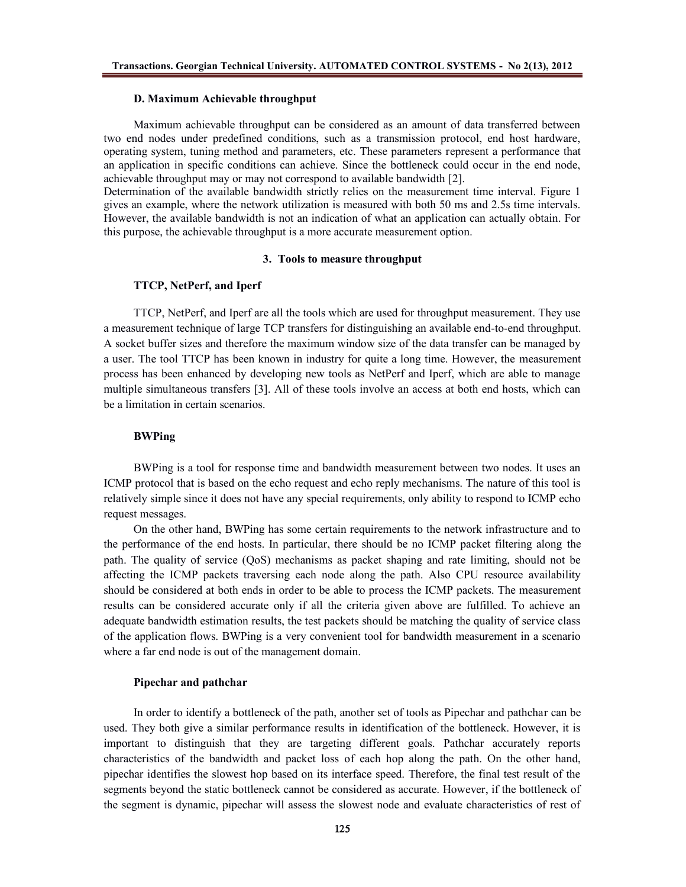#### **D. Maximum Achievable throughput**

Maximum achievable throughput can be considered as an amount of data transferred between two end nodes under predefined conditions, such as a transmission protocol, end host hardware, operating system, tuning method and parameters, etc. These parameters represent a performance that an application in specific conditions can achieve. Since the bottleneck could occur in the end node, achievable throughput may or may not correspond to available bandwidth [2].

Determination of the available bandwidth strictly relies on the measurement time interval. Figure 1 gives an example, where the network utilization is measured with both 50 ms and 2.5s time intervals. However, the available bandwidth is not an indication of what an application can actually obtain. For this purpose, the achievable throughput is a more accurate measurement option.

# **3. Tools to measure throughput**

# **TTCP, NetPerf, and Iperf**

TTCP, NetPerf, and Iperf are all the tools which are used for throughput measurement. They use a measurement technique of large TCP transfers for distinguishing an available end-to-end throughput. A socket buffer sizes and therefore the maximum window size of the data transfer can be managed by a user. The tool TTCP has been known in industry for quite a long time. However, the measurement process has been enhanced by developing new tools as NetPerf and Iperf, which are able to manage multiple simultaneous transfers [3]. All of these tools involve an access at both end hosts, which can be a limitation in certain scenarios.

# **BWPing**

BWPing is a tool for response time and bandwidth measurement between two nodes. It uses an ICMP protocol that is based on the echo request and echo reply mechanisms. The nature of this tool is relatively simple since it does not have any special requirements, only ability to respond to ICMP echo request messages.

On the other hand, BWPing has some certain requirements to the network infrastructure and to the performance of the end hosts. In particular, there should be no ICMP packet filtering along the path. The quality of service (QoS) mechanisms as packet shaping and rate limiting, should not be affecting the ICMP packets traversing each node along the path. Also CPU resource availability should be considered at both ends in order to be able to process the ICMP packets. The measurement results can be considered accurate only if all the criteria given above are fulfilled. To achieve an adequate bandwidth estimation results, the test packets should be matching the quality of service class of the application flows. BWPing is a very convenient tool for bandwidth measurement in a scenario where a far end node is out of the management domain.

# **Pipechar and pathchar**

In order to identify a bottleneck of the path, another set of tools as Pipechar and pathchar can be used. They both give a similar performance results in identification of the bottleneck. However, it is important to distinguish that they are targeting different goals. Pathchar accurately reports characteristics of the bandwidth and packet loss of each hop along the path. On the other hand, pipechar identifies the slowest hop based on its interface speed. Therefore, the final test result of the segments beyond the static bottleneck cannot be considered as accurate. However, if the bottleneck of the segment is dynamic, pipechar will assess the slowest node and evaluate characteristics of rest of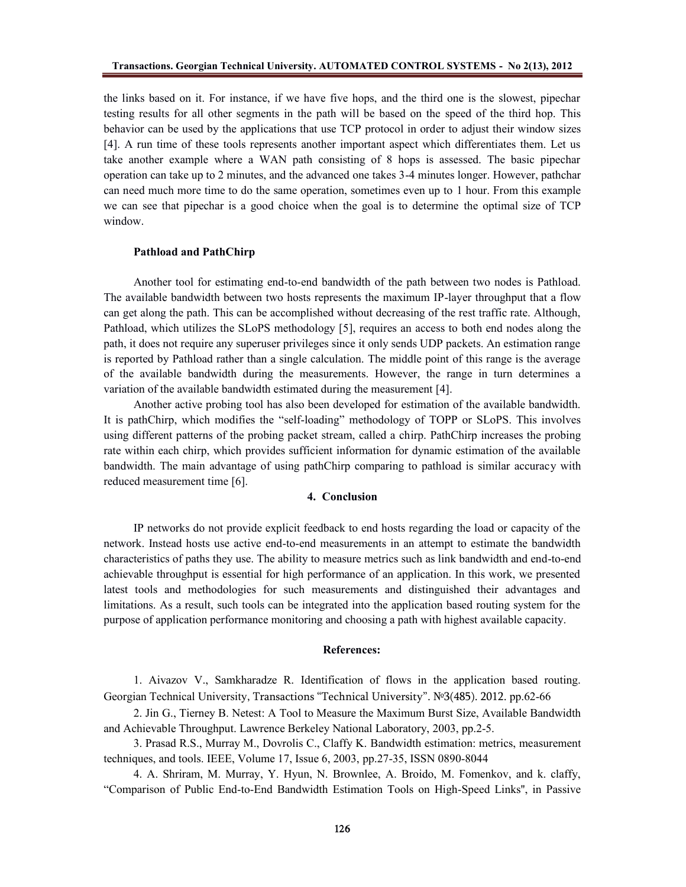the links based on it. For instance, if we have five hops, and the third one is the slowest, pipechar testing results for all other segments in the path will be based on the speed of the third hop. This behavior can be used by the applications that use TCP protocol in order to adjust their window sizes [4]. A run time of these tools represents another important aspect which differentiates them. Let us take another example where a WAN path consisting of 8 hops is assessed. The basic pipechar operation can take up to 2 minutes, and the advanced one takes 3-4 minutes longer. However, pathchar can need much more time to do the same operation, sometimes even up to 1 hour. From this example we can see that pipechar is a good choice when the goal is to determine the optimal size of TCP window.

# **Pathload and PathChirp**

Another tool for estimating end-to-end bandwidth of the path between two nodes is Pathload. The available bandwidth between two hosts represents the maximum IP-layer throughput that a flow can get along the path. This can be accomplished without decreasing of the rest traffic rate. Although, Pathload, which utilizes the SLoPS methodology [5], requires an access to both end nodes along the path, it does not require any superuser privileges since it only sends UDP packets. An estimation range is reported by Pathload rather than a single calculation. The middle point of this range is the average of the available bandwidth during the measurements. However, the range in turn determines a variation of the available bandwidth estimated during the measurement [4].

Another active probing tool has also been developed for estimation of the available bandwidth. It is pathChirp, which modifies the "self-loading" methodology of TOPP or SLoPS. This involves using different patterns of the probing packet stream, called a chirp. PathChirp increases the probing rate within each chirp, which provides sufficient information for dynamic estimation of the available bandwidth. The main advantage of using pathChirp comparing to pathload is similar accuracy with reduced measurement time [6].

#### **4. Conclusion**

IP networks do not provide explicit feedback to end hosts regarding the load or capacity of the network. Instead hosts use active end-to-end measurements in an attempt to estimate the bandwidth characteristics of paths they use. The ability to measure metrics such as link bandwidth and end-to-end achievable throughput is essential for high performance of an application. In this work, we presented latest tools and methodologies for such measurements and distinguished their advantages and limitations. As a result, such tools can be integrated into the application based routing system for the purpose of application performance monitoring and choosing a path with highest available capacity.

#### **References:**

1. Aivazov V., Samkharadze R. Identification of flows in the application based routing. Georgian Technical University, Transactions "Technical University". №3(485). 2012. pp.62-66

2. Jin G., Tierney B. Netest: A Tool to Measure the Maximum Burst Size, Available Bandwidth and Achievable Throughput. Lawrence Berkeley National Laboratory, 2003, pp.2-5.

3. Prasad R.S., Murray M., Dovrolis C., Claffy K. Bandwidth estimation: metrics, measurement techniques, and tools. IEEE, Volume 17, Issue 6, 2003, pp.27-35, ISSN 0890-8044

4. A. Shriram, M. Murray, Y. Hyun, N. Brownlee, A. Broido, M. Fomenkov, and k. claffy, "Comparison of Public End-to-End Bandwidth Estimation Tools on High-Speed Links'', in Passive